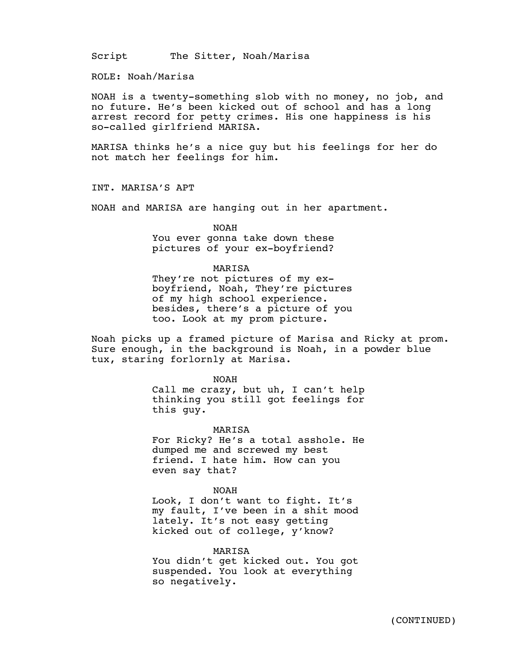Script The Sitter, Noah/Marisa

ROLE: Noah/Marisa

NOAH is a twenty-something slob with no money, no job, and no future. He's been kicked out of school and has a long arrest record for petty crimes. His one happiness is his so-called girlfriend MARISA.

MARISA thinks he's a nice guy but his feelings for her do not match her feelings for him.

INT. MARISA'S APT

NOAH and MARISA are hanging out in her apartment.

NOAH

You ever gonna take down these pictures of your ex-boyfriend?

#### MARISA

They're not pictures of my exboyfriend, Noah, They're pictures of my high school experience. besides, there's a picture of you too. Look at my prom picture.

Noah picks up a framed picture of Marisa and Ricky at prom. Sure enough, in the background is Noah, in a powder blue tux, staring forlornly at Marisa.

NOAH

Call me crazy, but uh, I can't help thinking you still got feelings for this guy.

MARISA

For Ricky? He's a total asshole. He dumped me and screwed my best friend. I hate him. How can you even say that?

NOAH

Look, I don't want to fight. It's my fault, I've been in a shit mood lately. It's not easy getting kicked out of college, y'know?

MARISA

You didn't get kicked out. You got suspended. You look at everything so negatively.